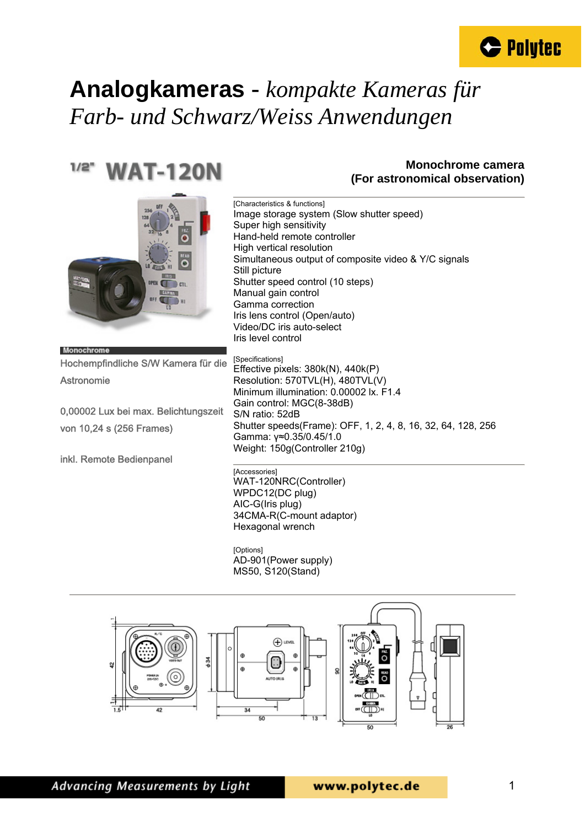

#### $1/2"$ **WAT-120N**

#### **Monochrome camera (For astronomical observation)**



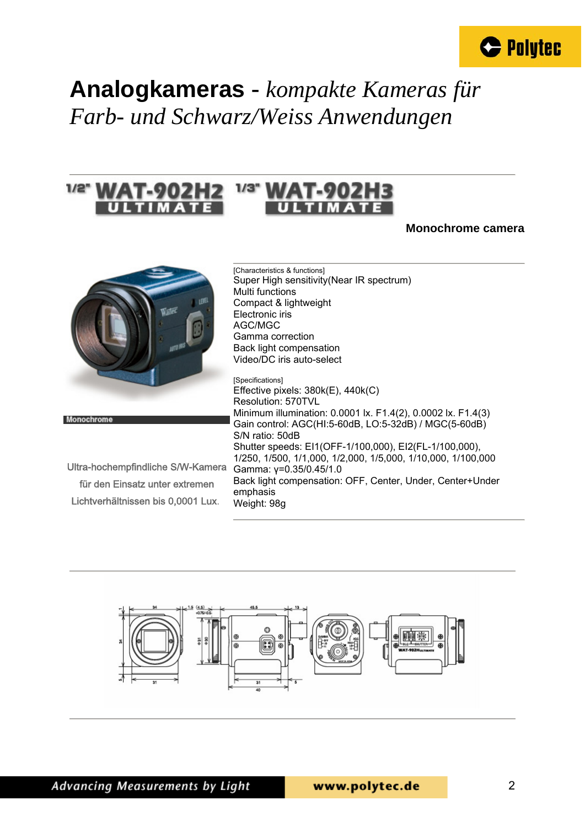



#### **Monochrome camera**



Monochrome

| Ultra-hochempfindliche S/W-Kamera  |
|------------------------------------|
| für den Einsatz unter extremen     |
| Lichtverhältnissen bis 0,0001 Lux. |

[Characteristics & functions] Super High sensitivity(Near IR spectrum) Multi functions Compact & lightweight Electronic iris AGC/MGC Gamma correction Back light compensation Video/DC iris auto-select

[Specifications] Effective pixels: 380k(E), 440k(C) Resolution: 570TVL Minimum illumination: 0.0001 lx. F1.4(2), 0.0002 lx. F1.4(3) Gain control: AGC(HI:5-60dB, LO:5-32dB) / MGC(5-60dB) S/N ratio: 50dB Shutter speeds: EI1(OFF-1/100,000), EI2(FL-1/100,000), 1/250, 1/500, 1/1,000, 1/2,000, 1/5,000, 1/10,000, 1/100,000 Gamma: γ=0.35/0.45/1.0 Back light compensation: OFF, Center, Under, Center+Under emphasis Weight: 98g

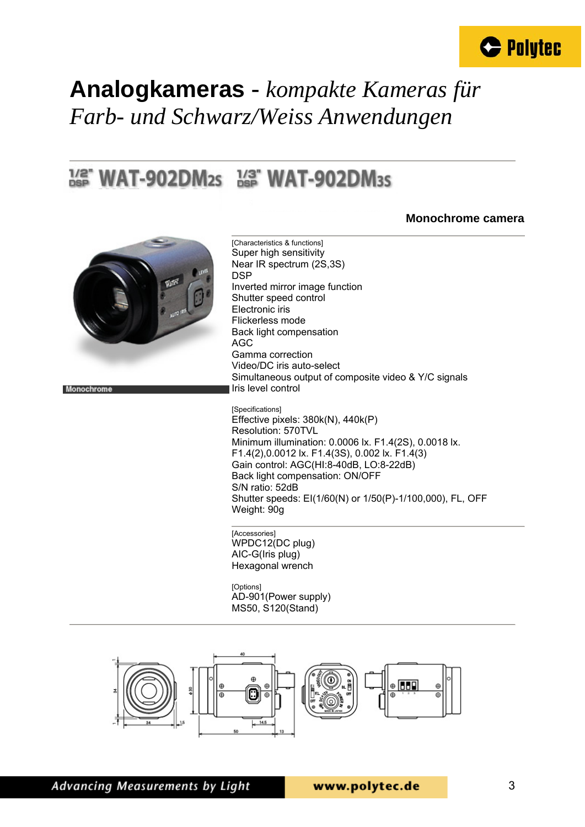

#### $^{1/2}$  WAT-902DM<sub>2S</sub>  $^{1/3}$  WAT-902DM<sub>3S</sub>

#### **Monochrome camera**



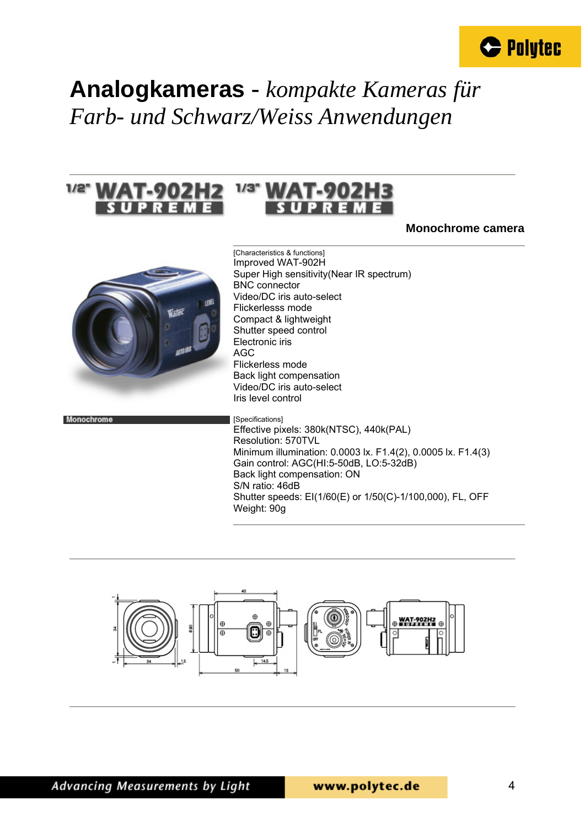



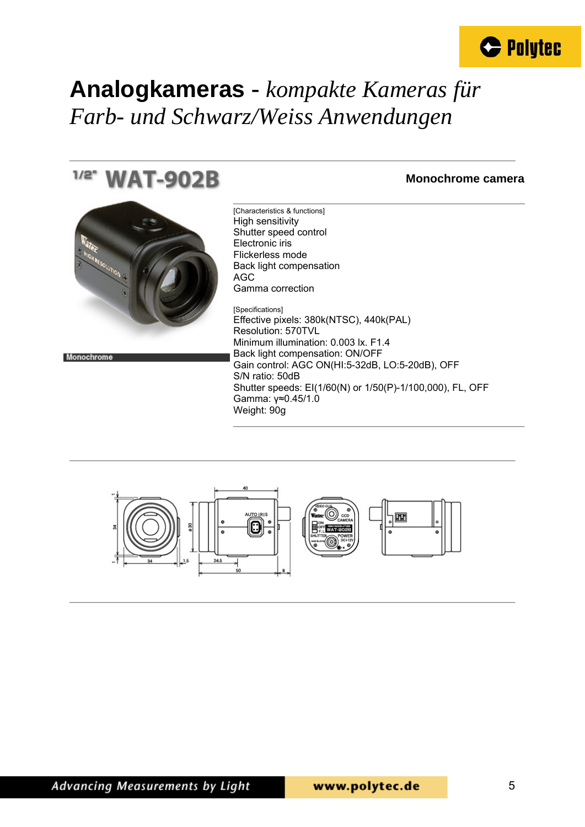

[Characteristics & functions]

#### $1/2^n$ **WAT-902B**

#### **Monochrome camera**



Monochrome

High sensitivity Shutter speed control Electronic iris Flickerless mode Back light compensation AGC Gamma correction [Specifications] Effective pixels: 380k(NTSC), 440k(PAL) Resolution: 570TVL Minimum illumination: 0.003 lx. F1.4 Back light compensation: ON/OFF Gain control: AGC ON(HI:5-32dB, LO:5-20dB), OFF S/N ratio: 50dB Shutter speeds: EI(1/60(N) or 1/50(P)-1/100,000), FL, OFF Gamma: γ≈0.45/1.0 Weight: 90g

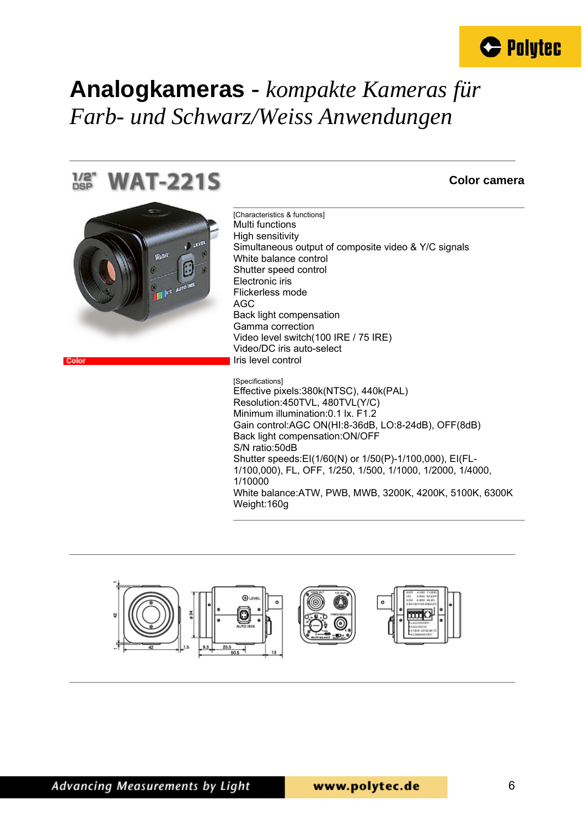



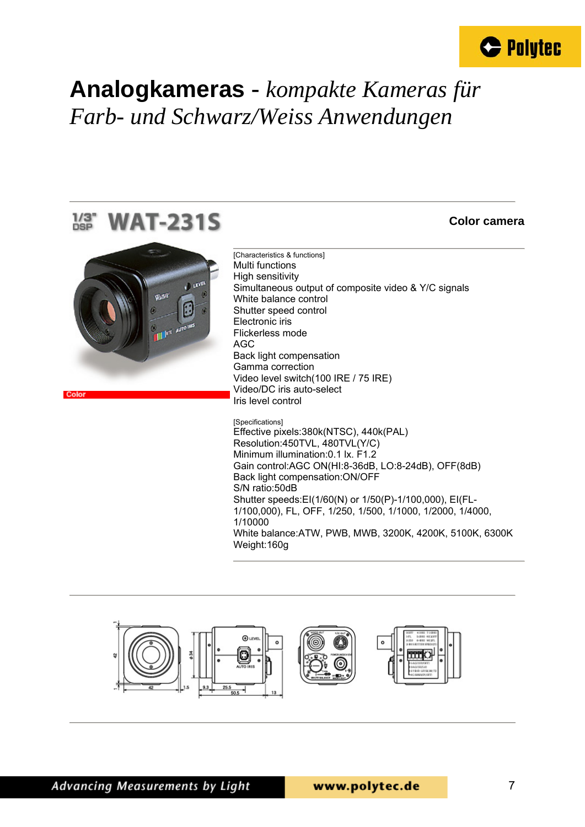